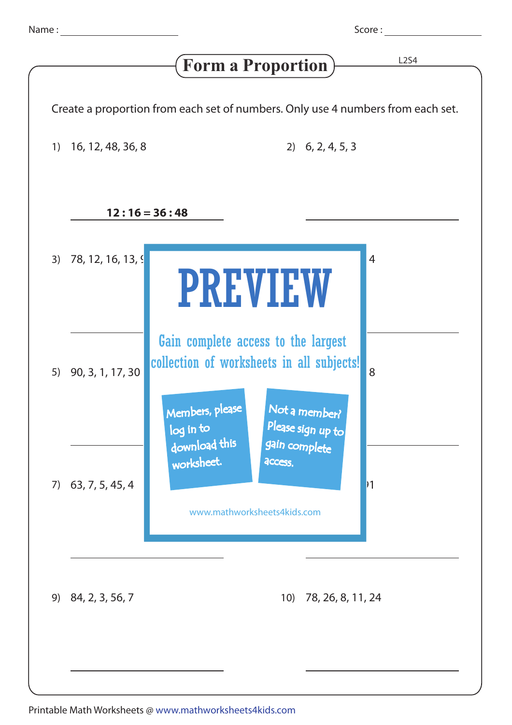